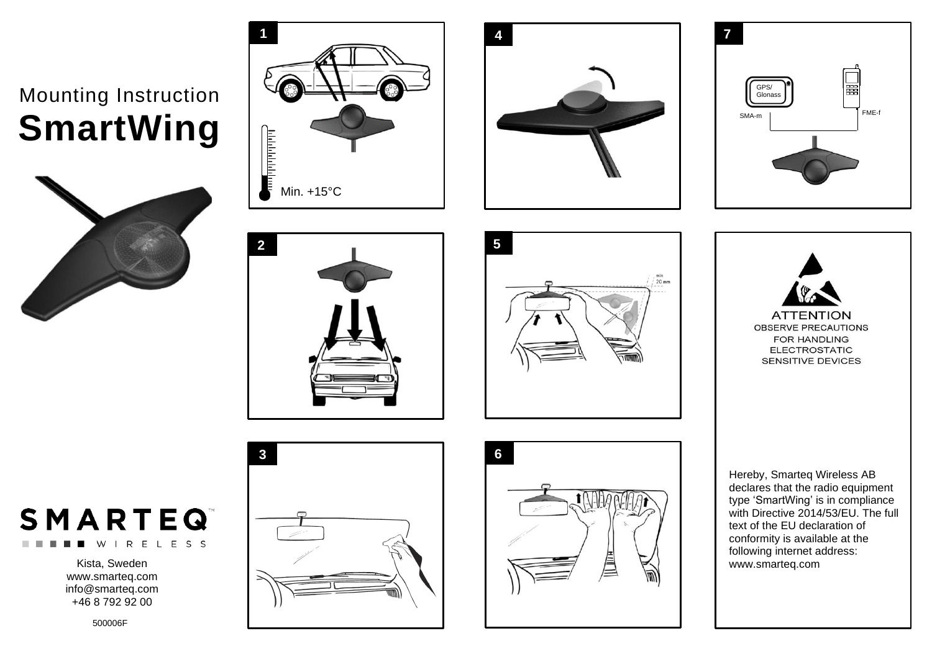## Mounting Instruction **SmartWing**















Hereby, Smarteq Wireless AB declares that the radio equipment type 'SmartWing' is in compliance with Directive 2014/53/EU. The full text of the EU declaration of conformity is available at the following internet address: www.smarteq.com

## **SMARTEQ** WIRELESS

Kista, Sweden www.smarteq.com [info@smarteq.com](mailto:info@smarteq.com) +46 8 792 92 00

500006F